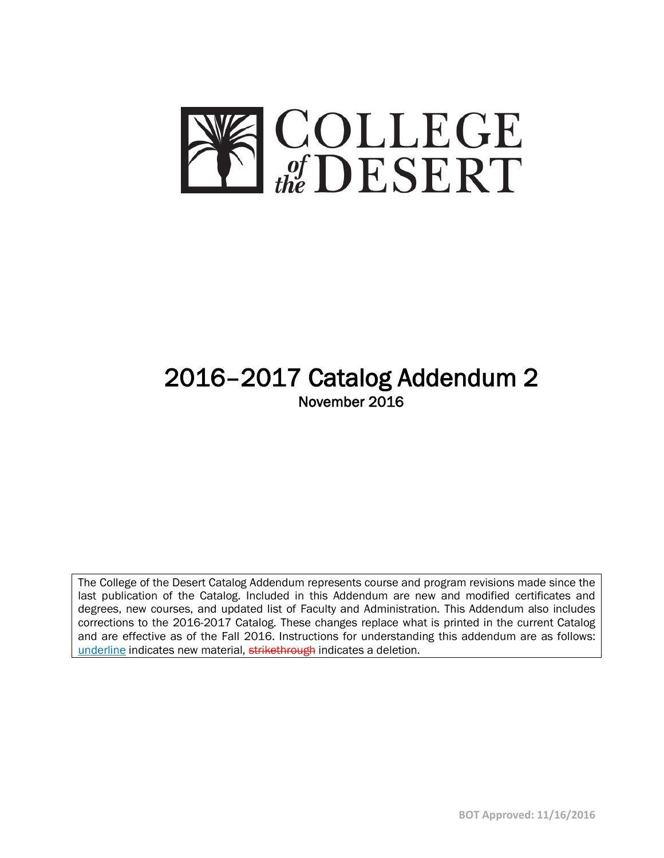

# 2016–2017 Catalog Addendum 2 November 2016

The College of the Desert Catalog Addendum represents course and program revisions made since the last publication of the Catalog. Included in this Addendum are new and modified certificates and degrees, new courses, and updated list of Faculty and Administration. This Addendum also includes corrections to the 2016-2017 Catalog. These changes replace what is printed in the current Catalog and are effective as of the Fall 2016. Instructions for understanding this addendum are as follows: underline indicates new material, strikethrough indicates a deletion.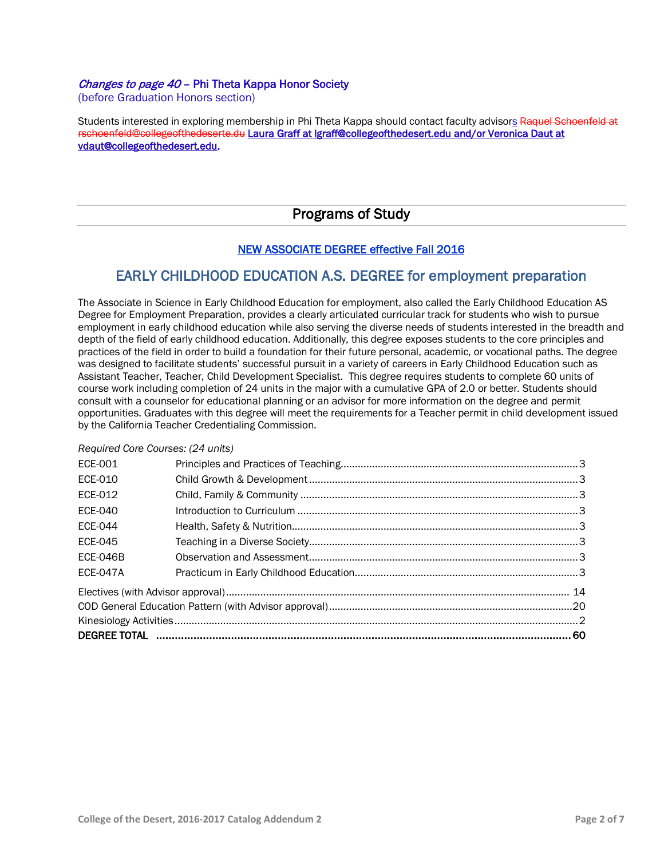## Changes to page 40 - Phi Theta Kappa Honor Society

(before Graduation Honors section)

Students interested in exploring membership in Phi Theta Kappa should contact faculty advisors Raquel Schoenfeld at [rschoenfeld@collegeofthedeserte.du](mailto:rschoenfeld@collegeofthedeserte.du) Laura Graff at [lgraff@collegeofthedesert.edu](mailto:lgraff@collegeofthedesert.edu) and/or Veronica Daut at [vdaut@collegeofthedesert.edu.](mailto:vdaut@collegeofthedesert.edu)

## Programs of Study

## NEW ASSOCIATE DEGREE effective Fall 2016

## EARLY CHILDHOOD EDUCATION A.S. DEGREE for employment preparation

The Associate in Science in Early Childhood Education for employment, also called the Early Childhood Education AS Degree for Employment Preparation, provides a clearly articulated curricular track for students who wish to pursue employment in early childhood education while also serving the diverse needs of students interested in the breadth and depth of the field of early childhood education. Additionally, this degree exposes students to the core principles and practices of the field in order to build a foundation for their future personal, academic, or vocational paths. The degree was designed to facilitate students' successful pursuit in a variety of careers in Early Childhood Education such as Assistant Teacher, Teacher, Child Development Specialist. This degree requires students to complete 60 units of course work including completion of 24 units in the major with a cumulative GPA of 2.0 or better. Students should consult with a counselor for educational planning or an advisor for more information on the degree and permit opportunities. Graduates with this degree will meet the requirements for a Teacher permit in child development issued by the California Teacher Credentialing Commission.

## *Required Core Courses: (24 units)*

| <b>ECE-001</b>  |  |  |  |
|-----------------|--|--|--|
| ECE-010         |  |  |  |
| ECE-012         |  |  |  |
| ECE-040         |  |  |  |
| <b>ECE-044</b>  |  |  |  |
| <b>ECE-045</b>  |  |  |  |
| <b>ECE-046B</b> |  |  |  |
| <b>ECE-047A</b> |  |  |  |
|                 |  |  |  |
|                 |  |  |  |
|                 |  |  |  |
|                 |  |  |  |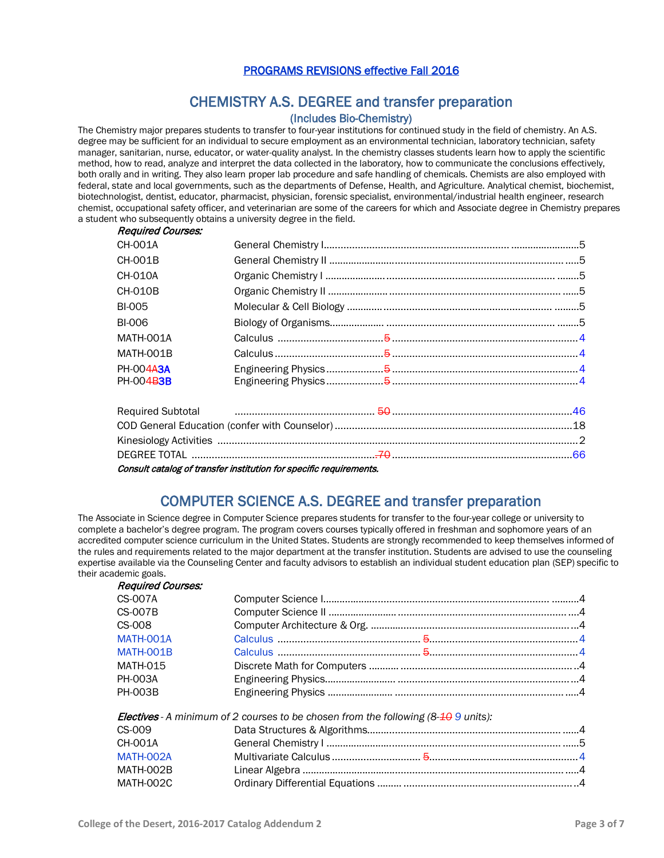## PROGRAMS REVISIONS effective Fall 2016

## CHEMISTRY A.S. DEGREE and transfer preparation

(Includes Bio-Chemistry)<br>The Chemistry major prepares students to transfer to four-year institutions for continued study in the field of chemistry. An A.S. degree may be sufficient for an individual to secure employment as an environmental technician, laboratory technician, safety manager, sanitarian, nurse, educator, or water-quality analyst. In the chemistry classes students learn how to apply the scientific method, how to read, analyze and interpret the data collected in the laboratory, how to communicate the conclusions effectively, both orally and in writing. They also learn proper lab procedure and safe handling of chemicals. Chemists are also employed with federal, state and local governments, such as the departments of Defense, Health, and Agriculture. Analytical chemist, biochemist, biotechnologist, dentist, educator, pharmacist, physician, forensic specialist, environmental/industrial health engineer, research chemist, occupational safety officer, and veterinarian are some of the careers for which and Associate degree in Chemistry prepares a student who subsequently obtains a university degree in the field.

## Required Courses:

| CH-001A                |                                                                                                                          |  |
|------------------------|--------------------------------------------------------------------------------------------------------------------------|--|
| CH-001B                |                                                                                                                          |  |
| CH-010A                |                                                                                                                          |  |
| CH-010B                |                                                                                                                          |  |
| BI-005                 |                                                                                                                          |  |
| BI-006                 |                                                                                                                          |  |
| <b>MATH-001A</b>       |                                                                                                                          |  |
| <b>MATH-001B</b>       |                                                                                                                          |  |
| PH-004A3A<br>PH-004B3B |                                                                                                                          |  |
|                        | Required Subtotal <b>Constitute Constitute Constitute Constitute Constitution</b> Construction Construction Construction |  |
|                        |                                                                                                                          |  |
|                        |                                                                                                                          |  |

Consult catalog of transfer institution for specific requirements.

## COMPUTER SCIENCE A.S. DEGREE and transfer preparation

The Associate in Science degree in Computer Science prepares students for transfer to the four-year college or university to complete a bachelor's degree program. The program covers courses typically offered in freshman and sophomore years of an accredited computer science curriculum in the United States. Students are strongly recommended to keep themselves informed of the rules and requirements related to the major department at the transfer institution. Students are advised to use the counseling expertise available via the Counseling Center and faculty advisors to establish an individual student education plan (SEP) specific to their academic goals.

| <b>Required Courses:</b> |                                                                                              |  |
|--------------------------|----------------------------------------------------------------------------------------------|--|
| CS-007A                  |                                                                                              |  |
| <b>CS-007B</b>           |                                                                                              |  |
| CS-008                   |                                                                                              |  |
| MATH-001A                |                                                                                              |  |
| MATH-001B                |                                                                                              |  |
| <b>MATH-015</b>          |                                                                                              |  |
| <b>PH-003A</b>           |                                                                                              |  |
| <b>PH-003B</b>           |                                                                                              |  |
|                          | <b>Electives</b> - A minimum of 2 courses to be chosen from the following $(8-10.9)$ units): |  |
| CS-009                   |                                                                                              |  |
| CH-001A                  |                                                                                              |  |
| MATH-002A                |                                                                                              |  |
| MATH-002B                |                                                                                              |  |
| MATH-002C                |                                                                                              |  |
|                          |                                                                                              |  |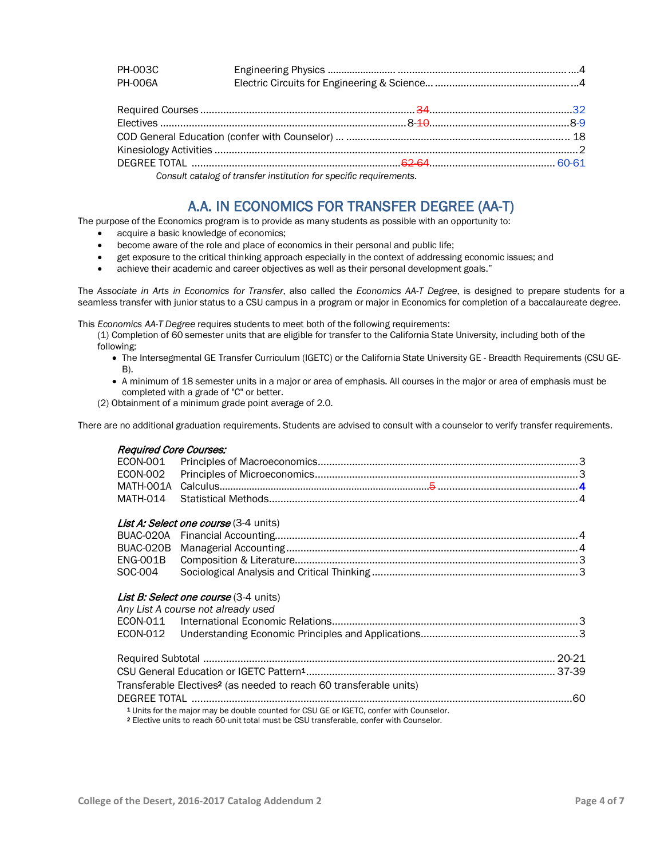| PH-003C        |  |
|----------------|--|
| <b>PH-006A</b> |  |
|                |  |

| DEGREE TOTAL ………………………………………………………………… <del>62 64……………………………………………</del> 60-61                                                                                                                                                    |  |
|-----------------------------------------------------------------------------------------------------------------------------------------------------------------------------------------------------------------------------------|--|
| $\alpha$ is a set of the set of the set of the set of the set of the set of the set of the set of the set of the set of the set of the set of the set of the set of the set of the set of the set of the set of the set of the se |  |

*Consult catalog of transfer institution for specific requirements.*

## A.A. IN ECONOMICS FOR TRANSFER DEGREE (AA-T)<br>The purpose of the Economics program is to provide as many students as possible with an opportunity to:

- acquire a basic knowledge of economics;
- become aware of the role and place of economics in their personal and public life;
- get exposure to the critical thinking approach especially in the context of addressing economic issues; and
- achieve their academic and career objectives as well as their personal development goals."

The *Associate in Arts in Economics for Transfer*, also called the *Economics AA-T Degree*, is designed to prepare students for a seamless transfer with junior status to a CSU campus in a program or major in Economics for completion of a baccalaureate degree.

This *Economics AA-T Degree* requires students to meet both of the following requirements:

(1) Completion of 60 semester units that are eligible for transfer to the California State University, including both of the following:

- The Intersegmental GE Transfer Curriculum (IGETC) or the California State University GE Breadth Requirements (CSU GE-B).
- A minimum of 18 semester units in a major or area of emphasis. All courses in the major or area of emphasis must be completed with a grade of "C" or better.

(2) Obtainment of a minimum grade point average of 2.0.

There are no additional graduation requirements. Students are advised to consult with a counselor to verify transfer requirements.

## Required Core Courses:

| List A: Select one course (3-4 units) |  |
|---------------------------------------|--|
|                                       |  |
|                                       |  |
|                                       |  |
|                                       |  |

## List B: Select one course (3-4 units)

|  | Any List A course not already used                                                                 |  |
|--|----------------------------------------------------------------------------------------------------|--|
|  |                                                                                                    |  |
|  |                                                                                                    |  |
|  |                                                                                                    |  |
|  |                                                                                                    |  |
|  | Transferable Electives <sup>2</sup> (as needed to reach 60 transferable units)                     |  |
|  |                                                                                                    |  |
|  | <sup>1</sup> Units for the major may be double counted for CSU GE or IGETC, confer with Counselor. |  |

<sup>2</sup> Elective units to reach 60-unit total must be CSU transferable, confer with Counselor.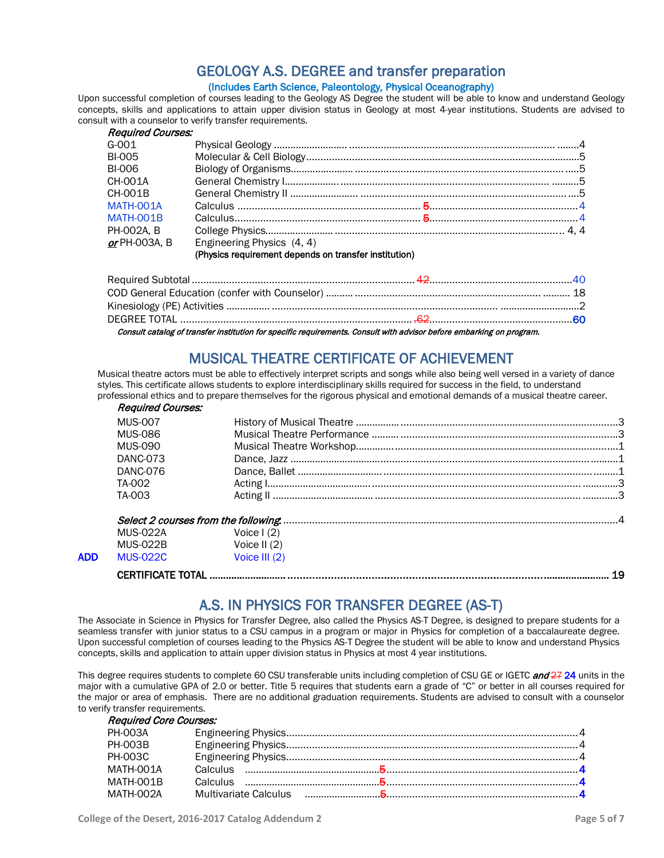## GEOLOGY A.S. DEGREE and transfer preparation (Includes Earth Science, Paleontology, Physical Oceanography)

Upon successful completion of courses leading to the Geology AS Degree the student will be able to know and understand Geology concepts, skills and applications to attain upper division status in Geology at most 4-year institutions. Students are advised to consult with a counselor to verify transfer requirements.

| <b>Required Courses:</b> |                                                       |  |
|--------------------------|-------------------------------------------------------|--|
| $G - 001$                |                                                       |  |
| <b>BI-005</b>            |                                                       |  |
| BI-006                   |                                                       |  |
| CH-001A                  |                                                       |  |
| CH-001B                  |                                                       |  |
| MATH-001A                |                                                       |  |
| MATH-001B                |                                                       |  |
| PH-002A, B               |                                                       |  |
| or PH-003A, B            | Engineering Physics (4, 4)                            |  |
|                          | (Physics requirement depends on transfer institution) |  |

Consult catalog of transfer institution for specific requirements. Consult with advisor before embarking on program.

MUSICAL THEATRE CERTIFICATE OF ACHIEVEMENT<br>Musical theatre actors must be able to effectively interpret scripts and songs while also being well versed in a variety of dance styles. This certificate allows students to explore interdisciplinary skills required for success in the field, to understand professional ethics and to prepare themselves for the rigorous physical and emotional demands of a musical theatre career.

| <b>Required Courses:</b> |                   |    |
|--------------------------|-------------------|----|
| <b>MUS-007</b>           |                   |    |
| <b>MUS-086</b>           |                   |    |
| MUS-090                  |                   |    |
| DANC-073                 |                   |    |
| DANC-076                 |                   |    |
| TA-002                   |                   |    |
| TA-003                   |                   |    |
|                          |                   |    |
| <b>MUS-022A</b>          | Voice $\vert$ (2) |    |
| <b>MUS-022B</b>          | Voice II $(2)$    |    |
| <b>MUS-022C</b>          | Voice III (2)     |    |
|                          |                   | 19 |
|                          |                   |    |

A.S. IN PHYSICS FOR TRANSFER DEGREE (AS-T)<br>The Associate in Science in Physics for Transfer Degree, also called the Physics AS-T Degree, is designed to prepare students for a seamless transfer with junior status to a CSU campus in a program or major in Physics for completion of a baccalaureate degree. Upon successful completion of courses leading to the Physics AS-T Degree the student will be able to know and understand Physics concepts, skills and application to attain upper division status in Physics at most 4 year institutions.

This degree requires students to complete 60 CSU transferable units including completion of CSU GE or IGETC and 27 24 units in the major with a cumulative GPA of 2.0 or better. Title 5 requires that students earn a grade of "C" or better in all courses required for the major or area of emphasis. There are no additional graduation requirements. Students are advised to consult with a counselor to verify transfer requirements.

## Required Core Courses: PH-003A Engineering Physics......................................................................................................4 PH-003B Engineering Physics......................................................................................................4 PH-003C Engineering Physics......................................................................................................4 MATH-001A Calculus …………………………………………..5...................................................................4 MATH-001B Calculus …………………………………………..5...................................................................4 MATH-002A Multivariate Calculus ……………………....5...................................................................4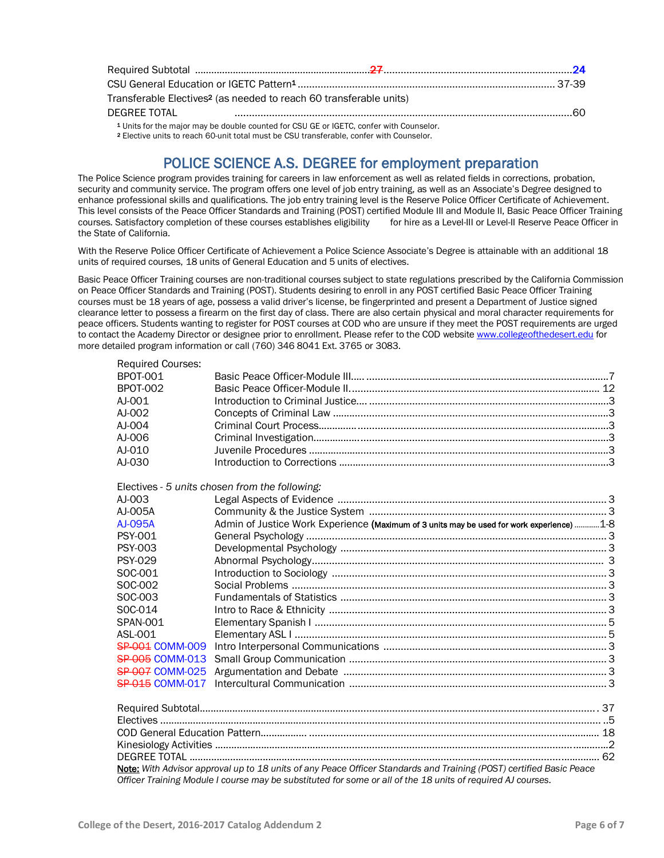|              | Transferable Electives <sup>2</sup> (as needed to reach 60 transferable units) |  |
|--------------|--------------------------------------------------------------------------------|--|
| DEGREE TOTAL |                                                                                |  |

<sup>1</sup> Units for the major may be double counted for CSU GE or IGETC, confer with Counselor.

<sup>2</sup> Elective units to reach 60-unit total must be CSU transferable, confer with Counselor.

## **POLICE SCIENCE A.S. DEGREE for employment preparation**<br>The Police Science program provides training for careers in law enforcement as well as related fields in corrections, probation,

security and community service. The program offers one level of job entry training, as well as an Associate's Degree designed to enhance professional skills and qualifications. The job entry training level is the Reserve Police Officer Certificate of Achievement. This level consists of the Peace Officer Standards and Training (POST) certified Module III and Module II, Basic Peace Officer Training courses. Satisfactory completion of these courses establishes eligibility for hire as courses. Satisfactory completion of these courses establishes eligibility the State of California.

With the Reserve Police Officer Certificate of Achievement a Police Science Associate's Degree is attainable with an additional 18 units of required courses, 18 units of General Education and 5 units of electives.

Basic Peace Officer Training courses are non-traditional courses subject to state regulations prescribed by the California Commission on Peace Officer Standards and Training (POST). Students desiring to enroll in any POST certified Basic Peace Officer Training courses must be 18 years of age, possess a valid driver's license, be fingerprinted and present a Department of Justice signed clearance letter to possess a firearm on the first day of class. There are also certain physical and moral character requirements for peace officers. Students wanting to register for POST courses at COD who are unsure if they meet the POST requirements are urged to contact the Academy Director or designee prior to enrollment. Please refer to the COD website [www.collegeofthedesert.edu](http://www.collegeofthedesert.edu/) for more detailed program information or call (760) 346 8041 Ext. 3765 or 3083.

| <b>Required Courses:</b> |                                                                                                                     |
|--------------------------|---------------------------------------------------------------------------------------------------------------------|
| <b>BPOT-001</b>          |                                                                                                                     |
| <b>BPOT-002</b>          |                                                                                                                     |
| AJ-001                   |                                                                                                                     |
| AJ-002                   |                                                                                                                     |
| AJ-004                   |                                                                                                                     |
| AJ-006                   |                                                                                                                     |
| AJ-010                   |                                                                                                                     |
| AJ-030                   |                                                                                                                     |
|                          | Electives - 5 units chosen from the following:                                                                      |
| AJ-003                   |                                                                                                                     |
| AJ-005A                  |                                                                                                                     |
| AJ-095A                  | Admin of Justice Work Experience (Maximum of 3 units may be used for work experience) 1-8                           |
| <b>PSY-001</b>           |                                                                                                                     |
| <b>PSY-003</b>           |                                                                                                                     |
| <b>PSY-029</b>           |                                                                                                                     |
| SOC-001                  |                                                                                                                     |
| SOC-002                  |                                                                                                                     |
| SOC-003                  |                                                                                                                     |
| SOC-014                  |                                                                                                                     |
| <b>SPAN-001</b>          |                                                                                                                     |
| ASL-001                  |                                                                                                                     |
| <b>SP-001 COMM-009</b>   |                                                                                                                     |
| <b>SP-005 COMM-013</b>   |                                                                                                                     |
| <b>SP-007 COMM-025</b>   |                                                                                                                     |
| <b>SP 015 COMM-017</b>   |                                                                                                                     |
|                          |                                                                                                                     |
|                          |                                                                                                                     |
|                          |                                                                                                                     |
|                          |                                                                                                                     |
|                          | Note: With Advisor approval up to 18 units of any Peace Officer Standards and Training (POST) certified Basic Peace |